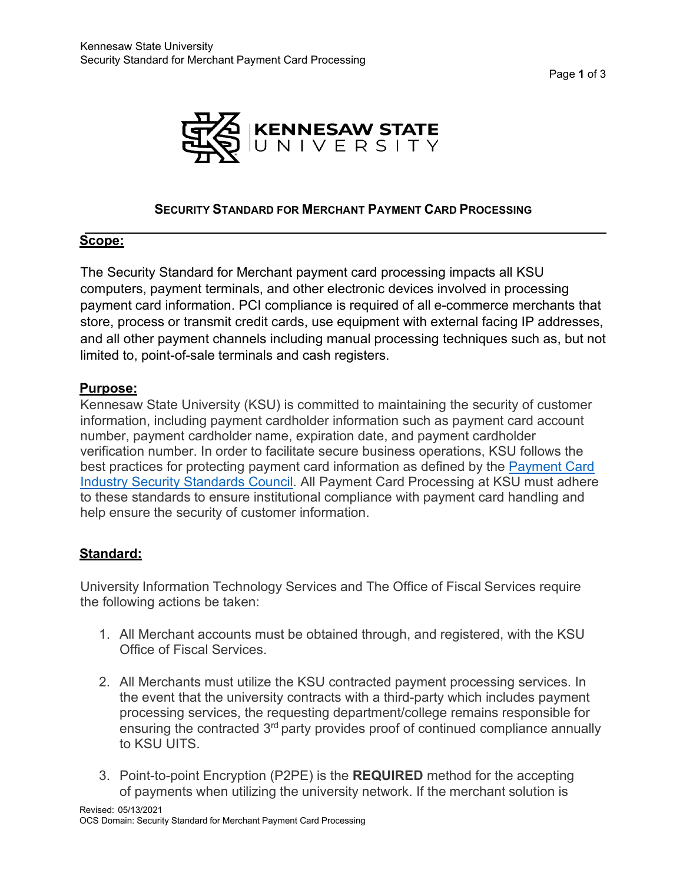Page **1** of 3



## **SECURITY STANDARD FOR MERCHANT PAYMENT CARD PROCESSING**

#### **Scope:**

The Security Standard for Merchant payment card processing impacts all KSU computers, payment terminals, and other electronic devices involved in processing payment card information. PCI compliance is required of all e-commerce merchants that store, process or transmit credit cards, use equipment with external facing IP addresses, and all other payment channels including manual processing techniques such as, but not limited to, point-of-sale terminals and cash registers.

## **Purpose:**

Kennesaw State University (KSU) is committed to maintaining the security of customer information, including payment cardholder information such as payment card account number, payment cardholder name, expiration date, and payment cardholder verification number. In order to facilitate secure business operations, KSU follows the best practices for protecting payment card information as defined by the [Payment Card](https://www.pcisecuritystandards.org/document_library) [Industry Security Standards Council.](https://www.pcisecuritystandards.org/document_library) All Payment Card Processing at KSU must adhere to these standards to ensure institutional compliance with payment card handling and help ensure the security of customer information.

# **Standard:**

University Information Technology Services and The Office of Fiscal Services require the following actions be taken:

- 1. All Merchant accounts must be obtained through, and registered, with the KSU Office of Fiscal Services.
- 2. All Merchants must utilize the KSU contracted payment processing services. In the event that the university contracts with a third-party which includes payment processing services, the requesting department/college remains responsible for ensuring the contracted 3<sup>rd</sup> party provides proof of continued compliance annually to KSU UITS.
- 3. Point-to-point Encryption (P2PE) is the **REQUIRED** method for the accepting of payments when utilizing the university network. If the merchant solution is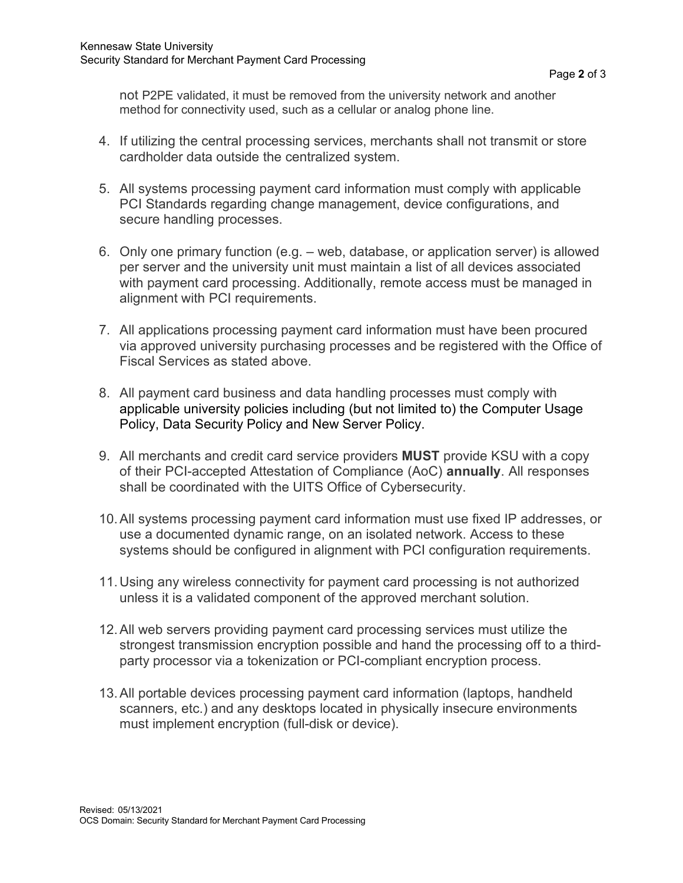not P2PE validated, it must be removed from the university network and another method for connectivity used, such as a cellular or analog phone line.

- 4. If utilizing the central processing services, merchants shall not transmit or store cardholder data outside the centralized system.
- 5. All systems processing payment card information must comply with applicable PCI Standards regarding change management, device configurations, and secure handling processes.
- 6. Only one primary function (e.g. web, database, or application server) is allowed per server and the university unit must maintain a list of all devices associated with payment card processing. Additionally, remote access must be managed in alignment with PCI requirements.
- 7. All applications processing payment card information must have been procured via approved university purchasing processes and be registered with the Office of Fiscal Services as stated above.
- 8. All payment card business and data handling processes must comply with applicable university policies including (but not limited to) the Computer Usage Policy, Data Security Policy and New Server Policy.
- 9. All merchants and credit card service providers **MUST** provide KSU with a copy of their PCI-accepted Attestation of Compliance (AoC) **annually**. All responses shall be coordinated with the UITS Office of Cybersecurity.
- 10.All systems processing payment card information must use fixed IP addresses, or use a documented dynamic range, on an isolated network. Access to these systems should be configured in alignment with PCI configuration requirements.
- 11.Using any wireless connectivity for payment card processing is not authorized unless it is a validated component of the approved merchant solution.
- 12.All web servers providing payment card processing services must utilize the strongest transmission encryption possible and hand the processing off to a thirdparty processor via a tokenization or PCI-compliant encryption process.
- 13.All portable devices processing payment card information (laptops, handheld scanners, etc.) and any desktops located in physically insecure environments must implement encryption (full-disk or device).